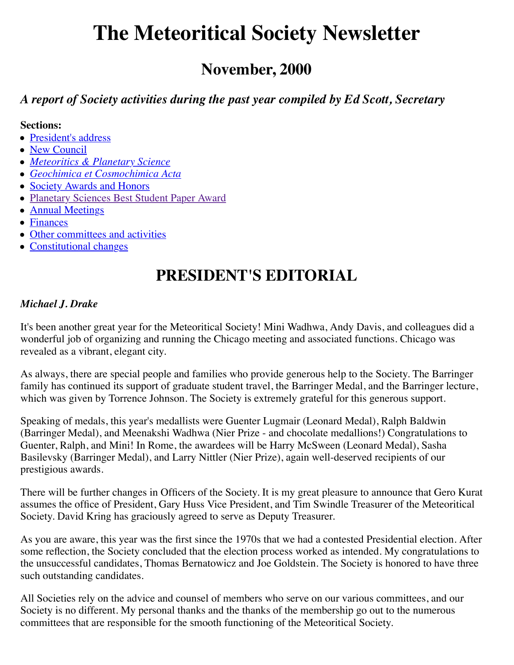# **The Meteoritical Society Newsletter**

### **November, 2000**

### *A report of Society activities during the past year compiled by Ed Scott, Secretary*

#### **Sections:**

- [President's address](#page-0-0)
- [New Council](#page-1-0)
- *[Meteoritics & Planetary Science](#page-1-1)*
- *[Geochimica et Cosmochimica Acta](#page-3-0)*
- [Society Awards and Honors](#page-3-1)
- [Planetary Sciences Best Student Paper Award](#page-5-0)
- [Annual Meetings](#page-6-0)
- [Finances](#page-9-0)
- [Other committees and activities](#page-10-0)
- <span id="page-0-0"></span>• [Constitutional changes](#page-11-0)

## **PRESIDENT'S EDITORIAL**

#### *Michael J. Drake*

It's been another great year for the Meteoritical Society! Mini Wadhwa, Andy Davis, and colleagues did a wonderful job of organizing and running the Chicago meeting and associated functions. Chicago was revealed as a vibrant, elegant city.

As always, there are special people and families who provide generous help to the Society. The Barringer family has continued its support of graduate student travel, the Barringer Medal, and the Barringer lecture, which was given by Torrence Johnson. The Society is extremely grateful for this generous support.

Speaking of medals, this year's medallists were Guenter Lugmair (Leonard Medal), Ralph Baldwin (Barringer Medal), and Meenakshi Wadhwa (Nier Prize - and chocolate medallions!) Congratulations to Guenter, Ralph, and Mini! In Rome, the awardees will be Harry McSween (Leonard Medal), Sasha Basilevsky (Barringer Medal), and Larry Nittler (Nier Prize), again well-deserved recipients of our prestigious awards.

There will be further changes in Officers of the Society. It is my great pleasure to announce that Gero Kurat assumes the office of President, Gary Huss Vice President, and Tim Swindle Treasurer of the Meteoritical Society. David Kring has graciously agreed to serve as Deputy Treasurer.

As you are aware, this year was the first since the 1970s that we had a contested Presidential election. After some reflection, the Society concluded that the election process worked as intended. My congratulations to the unsuccessful candidates, Thomas Bernatowicz and Joe Goldstein. The Society is honored to have three such outstanding candidates.

All Societies rely on the advice and counsel of members who serve on our various committees, and our Society is no different. My personal thanks and the thanks of the membership go out to the numerous committees that are responsible for the smooth functioning of the Meteoritical Society.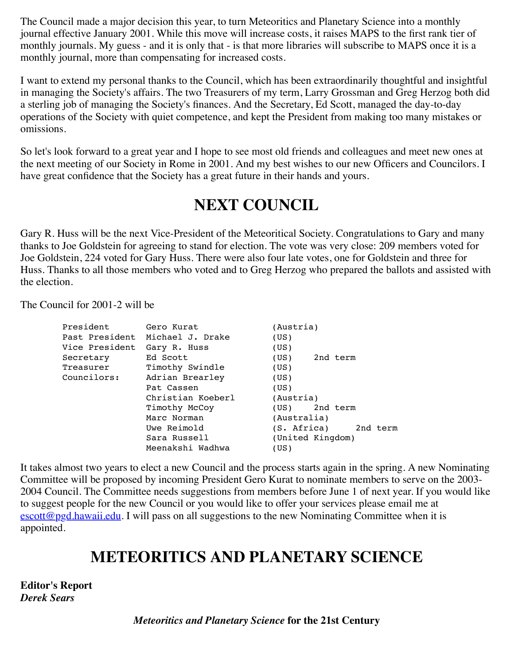The Council made a major decision this year, to turn Meteoritics and Planetary Science into a monthly journal effective January 2001. While this move will increase costs, it raises MAPS to the first rank tier of monthly journals. My guess - and it is only that - is that more libraries will subscribe to MAPS once it is a monthly journal, more than compensating for increased costs.

I want to extend my personal thanks to the Council, which has been extraordinarily thoughtful and insightful in managing the Society's affairs. The two Treasurers of my term, Larry Grossman and Greg Herzog both did a sterling job of managing the Society's finances. And the Secretary, Ed Scott, managed the day-to-day operations of the Society with quiet competence, and kept the President from making too many mistakes or omissions.

So let's look forward to a great year and I hope to see most old friends and colleagues and meet new ones at the next meeting of our Society in Rome in 2001. And my best wishes to our new Officers and Councilors. I have great confidence that the Society has a great future in their hands and yours.

## **NEXT COUNCIL**

<span id="page-1-0"></span>Gary R. Huss will be the next Vice-President of the Meteoritical Society. Congratulations to Gary and many thanks to Joe Goldstein for agreeing to stand for election. The vote was very close: 209 members voted for Joe Goldstein, 224 voted for Gary Huss. There were also four late votes, one for Goldstein and three for Huss. Thanks to all those members who voted and to Greg Herzog who prepared the ballots and assisted with the election.

The Council for 2001-2 will be

| President      | Gero Kurat        | (Austria)               |
|----------------|-------------------|-------------------------|
| Past President | Michael J. Drake  | (US)                    |
| Vice President | Gary R. Huss      | (US)                    |
| Secretary      | Ed Scott          | 2nd term<br>(US)        |
| Treasurer      | Timothy Swindle   | (US)                    |
| Councilors:    | Adrian Brearley   | (US)                    |
|                | Pat Cassen        | (US)                    |
|                | Christian Koeberl | (Austria)               |
|                | Timothy McCoy     | 2nd term<br>(US)        |
|                | Marc Norman       | (Australia)             |
|                | Uwe Reimold       | (S. Africa)<br>2nd term |
|                | Sara Russell      | (United Kingdom)        |
|                | Meenakshi Wadhwa  | (US)                    |
|                |                   |                         |

It takes almost two years to elect a new Council and the process starts again in the spring. A new Nominating Committee will be proposed by incoming President Gero Kurat to nominate members to serve on the 2003- 2004 Council. The Committee needs suggestions from members before June 1 of next year. If you would like to suggest people for the new Council or you would like to offer your services please email me at  $\frac{\text{escot}(\omega_{\text{pgd}})}{\text{hasim}(\omega)}$ . I will pass on all suggestions to the new Nominating Committee when it is appointed.

### **METEORITICS AND PLANETARY SCIENCE**

<span id="page-1-1"></span>**Editor's Report** *Derek Sears*

*Meteoritics and Planetary Science* **for the 21st Century**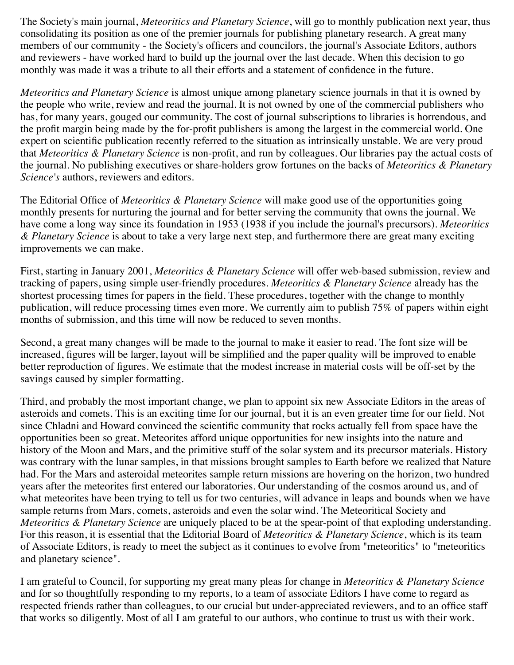The Society's main journal, *Meteoritics and Planetary Science*, will go to monthly publication next year, thus consolidating its position as one of the premier journals for publishing planetary research. A great many members of our community - the Society's officers and councilors, the journal's Associate Editors, authors and reviewers - have worked hard to build up the journal over the last decade. When this decision to go monthly was made it was a tribute to all their efforts and a statement of confidence in the future.

*Meteoritics and Planetary Science* is almost unique among planetary science journals in that it is owned by the people who write, review and read the journal. It is not owned by one of the commercial publishers who has, for many years, gouged our community. The cost of journal subscriptions to libraries is horrendous, and the profit margin being made by the for-profit publishers is among the largest in the commercial world. One expert on scientific publication recently referred to the situation as intrinsically unstable. We are very proud that *Meteoritics & Planetary Science* is non-profit, and run by colleagues. Our libraries pay the actual costs of the journal. No publishing executives or share-holders grow fortunes on the backs of *Meteoritics & Planetary Science's* authors, reviewers and editors.

The Editorial Office of *Meteoritics & Planetary Science* will make good use of the opportunities going monthly presents for nurturing the journal and for better serving the community that owns the journal. We have come a long way since its foundation in 1953 (1938 if you include the journal's precursors). *Meteoritics & Planetary Science* is about to take a very large next step, and furthermore there are great many exciting improvements we can make.

First, starting in January 2001, *Meteoritics & Planetary Science* will offer web-based submission, review and tracking of papers, using simple user-friendly procedures. *Meteoritics & Planetary Science* already has the shortest processing times for papers in the field. These procedures, together with the change to monthly publication, will reduce processing times even more. We currently aim to publish 75% of papers within eight months of submission, and this time will now be reduced to seven months.

Second, a great many changes will be made to the journal to make it easier to read. The font size will be increased, figures will be larger, layout will be simplified and the paper quality will be improved to enable better reproduction of figures. We estimate that the modest increase in material costs will be off-set by the savings caused by simpler formatting.

Third, and probably the most important change, we plan to appoint six new Associate Editors in the areas of asteroids and comets. This is an exciting time for our journal, but it is an even greater time for our field. Not since Chladni and Howard convinced the scientific community that rocks actually fell from space have the opportunities been so great. Meteorites afford unique opportunities for new insights into the nature and history of the Moon and Mars, and the primitive stuff of the solar system and its precursor materials. History was contrary with the lunar samples, in that missions brought samples to Earth before we realized that Nature had. For the Mars and asteroidal meteorites sample return missions are hovering on the horizon, two hundred years after the meteorites first entered our laboratories. Our understanding of the cosmos around us, and of what meteorites have been trying to tell us for two centuries, will advance in leaps and bounds when we have sample returns from Mars, comets, asteroids and even the solar wind. The Meteoritical Society and *Meteoritics & Planetary Science* are uniquely placed to be at the spear-point of that exploding understanding. For this reason, it is essential that the Editorial Board of *Meteoritics & Planetary Science*, which is its team of Associate Editors, is ready to meet the subject as it continues to evolve from "meteoritics" to "meteoritics and planetary science".

I am grateful to Council, for supporting my great many pleas for change in *Meteoritics & Planetary Science* and for so thoughtfully responding to my reports, to a team of associate Editors I have come to regard as respected friends rather than colleagues, to our crucial but under-appreciated reviewers, and to an office staff that works so diligently. Most of all I am grateful to our authors, who continue to trust us with their work.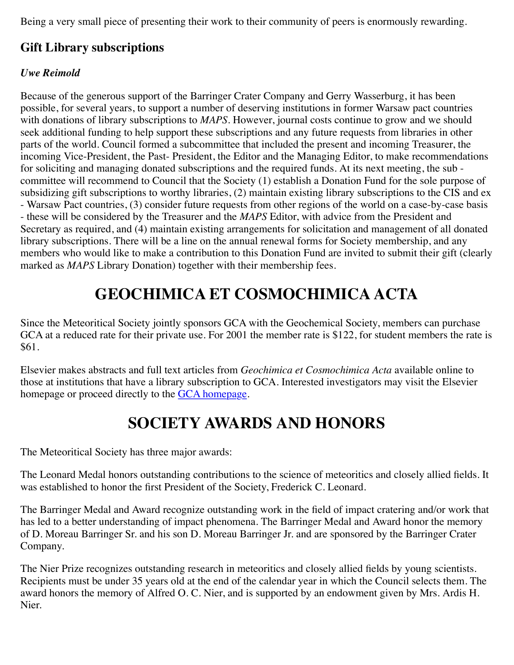Being a very small piece of presenting their work to their community of peers is enormously rewarding.

### **Gift Library subscriptions**

#### *Uwe Reimold*

Because of the generous support of the Barringer Crater Company and Gerry Wasserburg, it has been possible, for several years, to support a number of deserving institutions in former Warsaw pact countries with donations of library subscriptions to *MAPS*. However, journal costs continue to grow and we should seek additional funding to help support these subscriptions and any future requests from libraries in other parts of the world. Council formed a subcommittee that included the present and incoming Treasurer, the incoming Vice-President, the Past- President, the Editor and the Managing Editor, to make recommendations for soliciting and managing donated subscriptions and the required funds. At its next meeting, the sub committee will recommend to Council that the Society (1) establish a Donation Fund for the sole purpose of subsidizing gift subscriptions to worthy libraries, (2) maintain existing library subscriptions to the CIS and ex - Warsaw Pact countries, (3) consider future requests from other regions of the world on a case-by-case basis - these will be considered by the Treasurer and the *MAPS* Editor, with advice from the President and Secretary as required, and (4) maintain existing arrangements for solicitation and management of all donated library subscriptions. There will be a line on the annual renewal forms for Society membership, and any members who would like to make a contribution to this Donation Fund are invited to submit their gift (clearly marked as *MAPS* Library Donation) together with their membership fees.

## **GEOCHIMICA ET COSMOCHIMICA ACTA**

<span id="page-3-0"></span>Since the Meteoritical Society jointly sponsors GCA with the Geochemical Society, members can purchase GCA at a reduced rate for their private use. For 2001 the member rate is \$122, for student members the rate is \$61.

Elsevier makes abstracts and full text articles from *Geochimica et Cosmochimica Acta* available online to those at institutions that have a library subscription to GCA. Interested investigators may visit the Elsevier homepage or proceed directly to the [GCA homepage](http://%20www.elsevier.com/inca/publications/store/2/1/2/).

### **SOCIETY AWARDS AND HONORS**

<span id="page-3-1"></span>The Meteoritical Society has three major awards:

The Leonard Medal honors outstanding contributions to the science of meteoritics and closely allied fields. It was established to honor the first President of the Society, Frederick C. Leonard.

The Barringer Medal and Award recognize outstanding work in the field of impact cratering and/or work that has led to a better understanding of impact phenomena. The Barringer Medal and Award honor the memory of D. Moreau Barringer Sr. and his son D. Moreau Barringer Jr. and are sponsored by the Barringer Crater Company.

The Nier Prize recognizes outstanding research in meteoritics and closely allied fields by young scientists. Recipients must be under 35 years old at the end of the calendar year in which the Council selects them. The award honors the memory of Alfred O. C. Nier, and is supported by an endowment given by Mrs. Ardis H. Nier.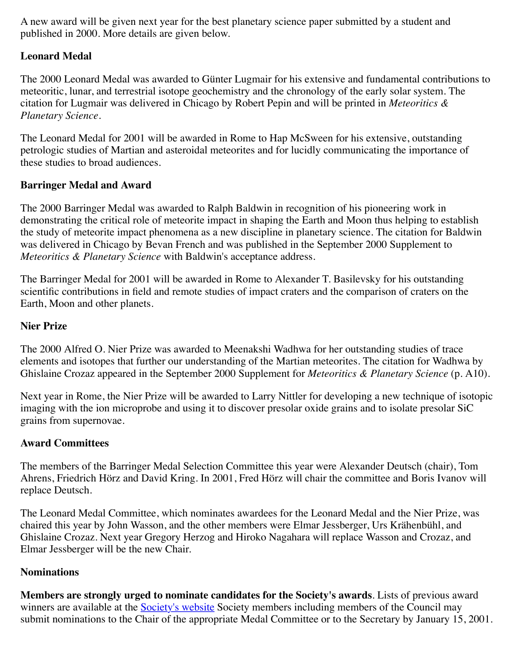A new award will be given next year for the best planetary science paper submitted by a student and published in 2000. More details are given below.

#### **Leonard Medal**

The 2000 Leonard Medal was awarded to Günter Lugmair for his extensive and fundamental contributions to meteoritic, lunar, and terrestrial isotope geochemistry and the chronology of the early solar system. The citation for Lugmair was delivered in Chicago by Robert Pepin and will be printed in *Meteoritics & Planetary Science*.

The Leonard Medal for 2001 will be awarded in Rome to Hap McSween for his extensive, outstanding petrologic studies of Martian and asteroidal meteorites and for lucidly communicating the importance of these studies to broad audiences.

#### **Barringer Medal and Award**

The 2000 Barringer Medal was awarded to Ralph Baldwin in recognition of his pioneering work in demonstrating the critical role of meteorite impact in shaping the Earth and Moon thus helping to establish the study of meteorite impact phenomena as a new discipline in planetary science. The citation for Baldwin was delivered in Chicago by Bevan French and was published in the September 2000 Supplement to *Meteoritics & Planetary Science* with Baldwin's acceptance address.

The Barringer Medal for 2001 will be awarded in Rome to Alexander T. Basilevsky for his outstanding scientific contributions in field and remote studies of impact craters and the comparison of craters on the Earth, Moon and other planets.

#### **Nier Prize**

The 2000 Alfred O. Nier Prize was awarded to Meenakshi Wadhwa for her outstanding studies of trace elements and isotopes that further our understanding of the Martian meteorites. The citation for Wadhwa by Ghislaine Crozaz appeared in the September 2000 Supplement for *Meteoritics & Planetary Science* (p. A10).

Next year in Rome, the Nier Prize will be awarded to Larry Nittler for developing a new technique of isotopic imaging with the ion microprobe and using it to discover presolar oxide grains and to isolate presolar SiC grains from supernovae.

#### **Award Committees**

The members of the Barringer Medal Selection Committee this year were Alexander Deutsch (chair), Tom Ahrens, Friedrich Hörz and David Kring. In 2001, Fred Hörz will chair the committee and Boris Ivanov will replace Deutsch.

The Leonard Medal Committee, which nominates awardees for the Leonard Medal and the Nier Prize, was chaired this year by John Wasson, and the other members were Elmar Jessberger, Urs Krähenbühl, and Ghislaine Crozaz. Next year Gregory Herzog and Hiroko Nagahara will replace Wasson and Crozaz, and Elmar Jessberger will be the new Chair.

#### **Nominations**

**Members are strongly urged to nominate candidates for the Society's awards**. Lists of previous award winners are available at the **[Society's website](file:///metsocdocs/METSOCMain/Website%20backup/www/newsletter/medal.htm)** Society members including members of the Council may submit nominations to the Chair of the appropriate Medal Committee or to the Secretary by January 15, 2001.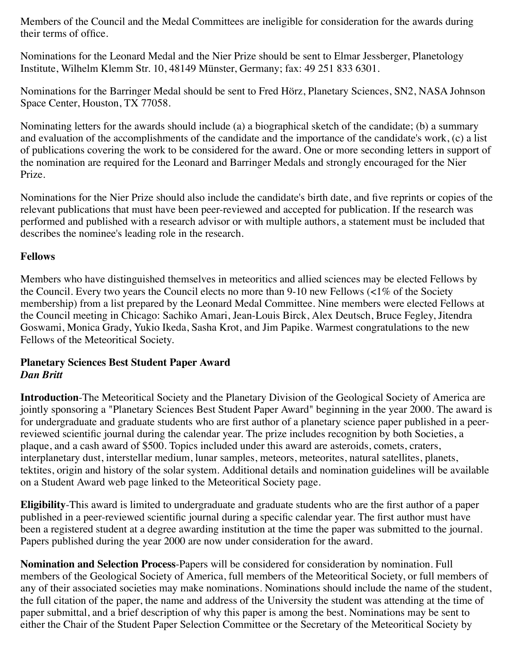Members of the Council and the Medal Committees are ineligible for consideration for the awards during their terms of office.

Nominations for the Leonard Medal and the Nier Prize should be sent to Elmar Jessberger, Planetology Institute, Wilhelm Klemm Str. 10, 48149 Münster, Germany; fax: 49 251 833 6301.

Nominations for the Barringer Medal should be sent to Fred Hörz, Planetary Sciences, SN2, NASA Johnson Space Center, Houston, TX 77058.

Nominating letters for the awards should include (a) a biographical sketch of the candidate; (b) a summary and evaluation of the accomplishments of the candidate and the importance of the candidate's work, (c) a list of publications covering the work to be considered for the award. One or more seconding letters in support of the nomination are required for the Leonard and Barringer Medals and strongly encouraged for the Nier Prize.

Nominations for the Nier Prize should also include the candidate's birth date, and five reprints or copies of the relevant publications that must have been peer-reviewed and accepted for publication. If the research was performed and published with a research advisor or with multiple authors, a statement must be included that describes the nominee's leading role in the research.

#### **Fellows**

Members who have distinguished themselves in meteoritics and allied sciences may be elected Fellows by the Council. Every two years the Council elects no more than 9-10 new Fellows (<1% of the Society membership) from a list prepared by the Leonard Medal Committee. Nine members were elected Fellows at the Council meeting in Chicago: Sachiko Amari, Jean-Louis Birck, Alex Deutsch, Bruce Fegley, Jitendra Goswami, Monica Grady, Yukio Ikeda, Sasha Krot, and Jim Papike. Warmest congratulations to the new Fellows of the Meteoritical Society.

#### <span id="page-5-0"></span>**Planetary Sciences Best Student Paper Award** *Dan Britt*

**Introduction**-The Meteoritical Society and the Planetary Division of the Geological Society of America are jointly sponsoring a "Planetary Sciences Best Student Paper Award" beginning in the year 2000. The award is for undergraduate and graduate students who are first author of a planetary science paper published in a peerreviewed scientific journal during the calendar year. The prize includes recognition by both Societies, a plaque, and a cash award of \$500. Topics included under this award are asteroids, comets, craters, interplanetary dust, interstellar medium, lunar samples, meteors, meteorites, natural satellites, planets, tektites, origin and history of the solar system. Additional details and nomination guidelines will be available on a Student Award web page linked to the Meteoritical Society page.

**Eligibility**-This award is limited to undergraduate and graduate students who are the first author of a paper published in a peer-reviewed scientific journal during a specific calendar year. The first author must have been a registered student at a degree awarding institution at the time the paper was submitted to the journal. Papers published during the year 2000 are now under consideration for the award.

**Nomination and Selection Process**-Papers will be considered for consideration by nomination. Full members of the Geological Society of America, full members of the Meteoritical Society, or full members of any of their associated societies may make nominations. Nominations should include the name of the student, the full citation of the paper, the name and address of the University the student was attending at the time of paper submittal, and a brief description of why this paper is among the best. Nominations may be sent to either the Chair of the Student Paper Selection Committee or the Secretary of the Meteoritical Society by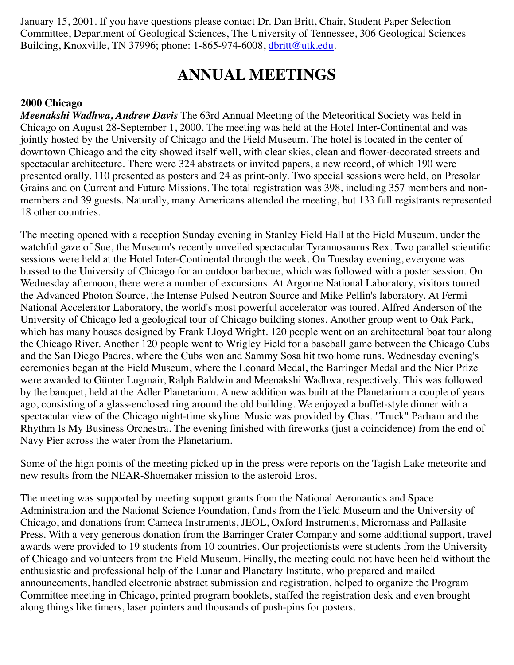January 15, 2001. If you have questions please contact Dr. Dan Britt, Chair, Student Paper Selection Committee, Department of Geological Sciences, The University of Tennessee, 306 Geological Sciences Building, Knoxville, TN 37996; phone: 1-865-974-6008, [dbritt@utk.edu](mailto:%20dbritt@utk.edu).

### **ANNUAL MEETINGS**

#### <span id="page-6-0"></span>**2000 Chicago**

*Meenakshi Wadhwa, Andrew Davis* The 63rd Annual Meeting of the Meteoritical Society was held in Chicago on August 28-September 1, 2000. The meeting was held at the Hotel Inter-Continental and was jointly hosted by the University of Chicago and the Field Museum. The hotel is located in the center of downtown Chicago and the city showed itself well, with clear skies, clean and flower-decorated streets and spectacular architecture. There were 324 abstracts or invited papers, a new record, of which 190 were presented orally, 110 presented as posters and 24 as print-only. Two special sessions were held, on Presolar Grains and on Current and Future Missions. The total registration was 398, including 357 members and nonmembers and 39 guests. Naturally, many Americans attended the meeting, but 133 full registrants represented 18 other countries.

The meeting opened with a reception Sunday evening in Stanley Field Hall at the Field Museum, under the watchful gaze of Sue, the Museum's recently unveiled spectacular Tyrannosaurus Rex. Two parallel scientific sessions were held at the Hotel Inter-Continental through the week. On Tuesday evening, everyone was bussed to the University of Chicago for an outdoor barbecue, which was followed with a poster session. On Wednesday afternoon, there were a number of excursions. At Argonne National Laboratory, visitors toured the Advanced Photon Source, the Intense Pulsed Neutron Source and Mike Pellin's laboratory. At Fermi National Accelerator Laboratory, the world's most powerful accelerator was toured. Alfred Anderson of the University of Chicago led a geological tour of Chicago building stones. Another group went to Oak Park, which has many houses designed by Frank Lloyd Wright. 120 people went on an architectural boat tour along the Chicago River. Another 120 people went to Wrigley Field for a baseball game between the Chicago Cubs and the San Diego Padres, where the Cubs won and Sammy Sosa hit two home runs. Wednesday evening's ceremonies began at the Field Museum, where the Leonard Medal, the Barringer Medal and the Nier Prize were awarded to Günter Lugmair, Ralph Baldwin and Meenakshi Wadhwa, respectively. This was followed by the banquet, held at the Adler Planetarium. A new addition was built at the Planetarium a couple of years ago, consisting of a glass-enclosed ring around the old building. We enjoyed a buffet-style dinner with a spectacular view of the Chicago night-time skyline. Music was provided by Chas. "Truck" Parham and the Rhythm Is My Business Orchestra. The evening finished with fireworks (just a coincidence) from the end of Navy Pier across the water from the Planetarium.

Some of the high points of the meeting picked up in the press were reports on the Tagish Lake meteorite and new results from the NEAR-Shoemaker mission to the asteroid Eros.

The meeting was supported by meeting support grants from the National Aeronautics and Space Administration and the National Science Foundation, funds from the Field Museum and the University of Chicago, and donations from Cameca Instruments, JEOL, Oxford Instruments, Micromass and Pallasite Press. With a very generous donation from the Barringer Crater Company and some additional support, travel awards were provided to 19 students from 10 countries. Our projectionists were students from the University of Chicago and volunteers from the Field Museum. Finally, the meeting could not have been held without the enthusiastic and professional help of the Lunar and Planetary Institute, who prepared and mailed announcements, handled electronic abstract submission and registration, helped to organize the Program Committee meeting in Chicago, printed program booklets, staffed the registration desk and even brought along things like timers, laser pointers and thousands of push-pins for posters.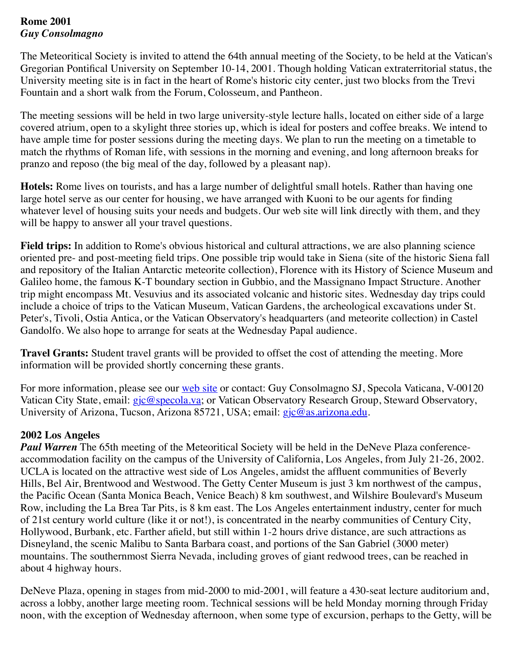#### **Rome 2001** *Guy Consolmagno*

The Meteoritical Society is invited to attend the 64th annual meeting of the Society, to be held at the Vatican's Gregorian Pontifical University on September 10-14, 2001. Though holding Vatican extraterritorial status, the University meeting site is in fact in the heart of Rome's historic city center, just two blocks from the Trevi Fountain and a short walk from the Forum, Colosseum, and Pantheon.

The meeting sessions will be held in two large university-style lecture halls, located on either side of a large covered atrium, open to a skylight three stories up, which is ideal for posters and coffee breaks. We intend to have ample time for poster sessions during the meeting days. We plan to run the meeting on a timetable to match the rhythms of Roman life, with sessions in the morning and evening, and long afternoon breaks for pranzo and reposo (the big meal of the day, followed by a pleasant nap).

**Hotels:** Rome lives on tourists, and has a large number of delightful small hotels. Rather than having one large hotel serve as our center for housing, we have arranged with Kuoni to be our agents for finding whatever level of housing suits your needs and budgets. Our web site will link directly with them, and they will be happy to answer all your travel questions.

**Field trips:** In addition to Rome's obvious historical and cultural attractions, we are also planning science oriented pre- and post-meeting field trips. One possible trip would take in Siena (site of the historic Siena fall and repository of the Italian Antarctic meteorite collection), Florence with its History of Science Museum and Galileo home, the famous K-T boundary section in Gubbio, and the Massignano Impact Structure. Another trip might encompass Mt. Vesuvius and its associated volcanic and historic sites. Wednesday day trips could include a choice of trips to the Vatican Museum, Vatican Gardens, the archeological excavations under St. Peter's, Tivoli, Ostia Antica, or the Vatican Observatory's headquarters (and meteorite collection) in Castel Gandolfo. We also hope to arrange for seats at the Wednesday Papal audience.

**Travel Grants:** Student travel grants will be provided to offset the cost of attending the meeting. More information will be provided shortly concerning these grants.

For more information, please see our [web site](http://geoweb.gg.utk.edu/2001/METSOC2001.HTML) or contact: Guy Consolmagno SJ, Specola Vaticana, V-00120 Vatican City State, email: [gjc@specola.va;](mailto:%20gjc@specola.va) or Vatican Observatory Research Group, Steward Observatory, University of Arizona, Tucson, Arizona 85721, USA; email: [gjc@as.arizona.edu.](mailto:%20gjc@as.arizona.edu)

#### **2002 Los Angeles**

**Paul Warren** The 65th meeting of the Meteoritical Society will be held in the DeNeve Plaza conferenceaccommodation facility on the campus of the University of California, Los Angeles, from July 21-26, 2002. UCLA is located on the attractive west side of Los Angeles, amidst the affluent communities of Beverly Hills, Bel Air, Brentwood and Westwood. The Getty Center Museum is just 3 km northwest of the campus, the Pacific Ocean (Santa Monica Beach, Venice Beach) 8 km southwest, and Wilshire Boulevard's Museum Row, including the La Brea Tar Pits, is 8 km east. The Los Angeles entertainment industry, center for much of 21st century world culture (like it or not!), is concentrated in the nearby communities of Century City, Hollywood, Burbank, etc. Farther afield, but still within 1-2 hours drive distance, are such attractions as Disneyland, the scenic Malibu to Santa Barbara coast, and portions of the San Gabriel (3000 meter) mountains. The southernmost Sierra Nevada, including groves of giant redwood trees, can be reached in about 4 highway hours.

DeNeve Plaza, opening in stages from mid-2000 to mid-2001, will feature a 430-seat lecture auditorium and, across a lobby, another large meeting room. Technical sessions will be held Monday morning through Friday noon, with the exception of Wednesday afternoon, when some type of excursion, perhaps to the Getty, will be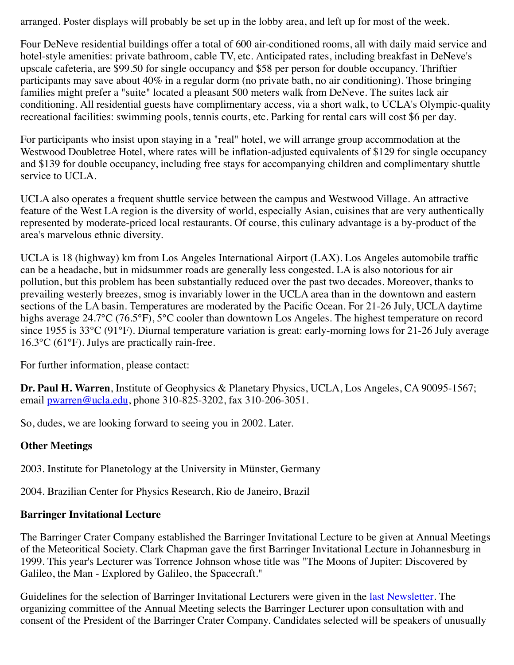arranged. Poster displays will probably be set up in the lobby area, and left up for most of the week.

Four DeNeve residential buildings offer a total of 600 air-conditioned rooms, all with daily maid service and hotel-style amenities: private bathroom, cable TV, etc. Anticipated rates, including breakfast in DeNeve's upscale cafeteria, are \$99.50 for single occupancy and \$58 per person for double occupancy. Thriftier participants may save about 40% in a regular dorm (no private bath, no air conditioning). Those bringing families might prefer a "suite" located a pleasant 500 meters walk from DeNeve. The suites lack air conditioning. All residential guests have complimentary access, via a short walk, to UCLA's Olympic-quality recreational facilities: swimming pools, tennis courts, etc. Parking for rental cars will cost \$6 per day.

For participants who insist upon staying in a "real" hotel, we will arrange group accommodation at the Westwood Doubletree Hotel, where rates will be inflation-adjusted equivalents of \$129 for single occupancy and \$139 for double occupancy, including free stays for accompanying children and complimentary shuttle service to UCLA.

UCLA also operates a frequent shuttle service between the campus and Westwood Village. An attractive feature of the West LA region is the diversity of world, especially Asian, cuisines that are very authentically represented by moderate-priced local restaurants. Of course, this culinary advantage is a by-product of the area's marvelous ethnic diversity.

UCLA is 18 (highway) km from Los Angeles International Airport (LAX). Los Angeles automobile traffic can be a headache, but in midsummer roads are generally less congested. LA is also notorious for air pollution, but this problem has been substantially reduced over the past two decades. Moreover, thanks to prevailing westerly breezes, smog is invariably lower in the UCLA area than in the downtown and eastern sections of the LA basin. Temperatures are moderated by the Pacific Ocean. For 21-26 July, UCLA daytime highs average 24.7°C (76.5°F), 5°C cooler than downtown Los Angeles. The highest temperature on record since 1955 is 33°C (91°F). Diurnal temperature variation is great: early-morning lows for 21-26 July average 16.3°C (61°F). Julys are practically rain-free.

For further information, please contact:

**Dr. Paul H. Warren**, Institute of Geophysics & Planetary Physics, UCLA, Los Angeles, CA 90095-1567; email [pwarren@ucla.edu,](mailto:%20pwarren@ucla.edu) phone 310-825-3202, fax 310-206-3051.

So, dudes, we are looking forward to seeing you in 2002. Later.

#### **Other Meetings**

2003. Institute for Planetology at the University in Münster, Germany

2004. Brazilian Center for Physics Research, Rio de Janeiro, Brazil

### **Barringer Invitational Lecture**

The Barringer Crater Company established the Barringer Invitational Lecture to be given at Annual Meetings of the Meteoritical Society. Clark Chapman gave the first Barringer Invitational Lecture in Johannesburg in 1999. This year's Lecturer was Torrence Johnson whose title was "The Moons of Jupiter: Discovered by Galileo, the Man - Explored by Galileo, the Spacecraft."

Guidelines for the selection of Barringer Invitational Lecturers were given in the [last Newsletter.](file:///metsocdocs/METSOCMain/Website%20backup/www/newsletter/nlet99.htm) The organizing committee of the Annual Meeting selects the Barringer Lecturer upon consultation with and consent of the President of the Barringer Crater Company. Candidates selected will be speakers of unusually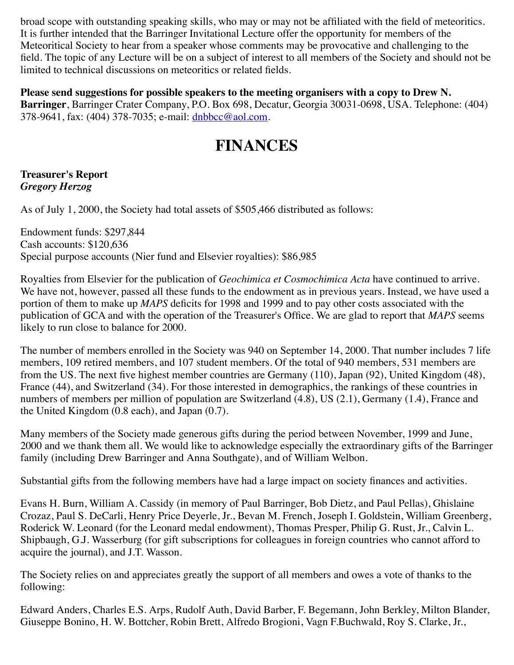broad scope with outstanding speaking skills, who may or may not be affiliated with the field of meteoritics. It is further intended that the Barringer Invitational Lecture offer the opportunity for members of the Meteoritical Society to hear from a speaker whose comments may be provocative and challenging to the field. The topic of any Lecture will be on a subject of interest to all members of the Society and should not be limited to technical discussions on meteoritics or related fields.

**Please send suggestions for possible speakers to the meeting organisers with a copy to Drew N. Barringer**, Barringer Crater Company, P.O. Box 698, Decatur, Georgia 30031-0698, USA. Telephone: (404) 378-9641, fax: (404) 378-7035; e-mail: [dnbbcc@aol.com.](mailto:dnbbcc@aol.com)

## **FINANCES**

#### <span id="page-9-0"></span>**Treasurer's Report** *Gregory Herzog*

As of July 1, 2000, the Society had total assets of \$505,466 distributed as follows:

Endowment funds: \$297,844 Cash accounts: \$120,636 Special purpose accounts (Nier fund and Elsevier royalties): \$86,985

Royalties from Elsevier for the publication of *Geochimica et Cosmochimica Acta* have continued to arrive. We have not, however, passed all these funds to the endowment as in previous years. Instead, we have used a portion of them to make up *MAPS* deficits for 1998 and 1999 and to pay other costs associated with the publication of GCA and with the operation of the Treasurer's Office. We are glad to report that *MAPS* seems likely to run close to balance for 2000.

The number of members enrolled in the Society was 940 on September 14, 2000. That number includes 7 life members, 109 retired members, and 107 student members. Of the total of 940 members, 531 members are from the US. The next five highest member countries are Germany (110), Japan (92), United Kingdom (48), France (44), and Switzerland (34). For those interested in demographics, the rankings of these countries in numbers of members per million of population are Switzerland (4.8), US (2.1), Germany (1.4), France and the United Kingdom (0.8 each), and Japan (0.7).

Many members of the Society made generous gifts during the period between November, 1999 and June, 2000 and we thank them all. We would like to acknowledge especially the extraordinary gifts of the Barringer family (including Drew Barringer and Anna Southgate), and of William Welbon.

Substantial gifts from the following members have had a large impact on society finances and activities.

Evans H. Burn, William A. Cassidy (in memory of Paul Barringer, Bob Dietz, and Paul Pellas), Ghislaine Crozaz, Paul S. DeCarli, Henry Price Deyerle, Jr., Bevan M. French, Joseph I. Goldstein, William Greenberg, Roderick W. Leonard (for the Leonard medal endowment), Thomas Presper, Philip G. Rust, Jr., Calvin L. Shipbaugh, G.J. Wasserburg (for gift subscriptions for colleagues in foreign countries who cannot afford to acquire the journal), and J.T. Wasson.

The Society relies on and appreciates greatly the support of all members and owes a vote of thanks to the following:

Edward Anders, Charles E.S. Arps, Rudolf Auth, David Barber, F. Begemann, John Berkley, Milton Blander, Giuseppe Bonino, H. W. Bottcher, Robin Brett, Alfredo Brogioni, Vagn F.Buchwald, Roy S. Clarke, Jr.,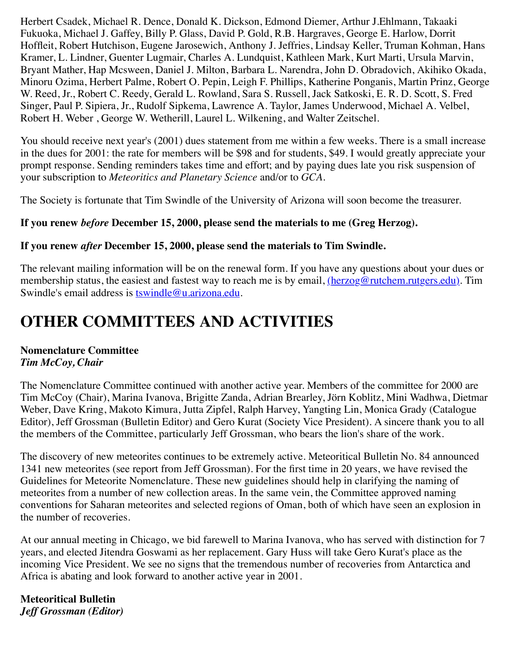Herbert Csadek, Michael R. Dence, Donald K. Dickson, Edmond Diemer, Arthur J.Ehlmann, Takaaki Fukuoka, Michael J. Gaffey, Billy P. Glass, David P. Gold, R.B. Hargraves, George E. Harlow, Dorrit Hoffleit, Robert Hutchison, Eugene Jarosewich, Anthony J. Jeffries, Lindsay Keller, Truman Kohman, Hans Kramer, L. Lindner, Guenter Lugmair, Charles A. Lundquist, Kathleen Mark, Kurt Marti, Ursula Marvin, Bryant Mather, Hap Mcsween, Daniel J. Milton, Barbara L. Narendra, John D. Obradovich, Akihiko Okada, Minoru Ozima, Herbert Palme, Robert O. Pepin, Leigh F. Phillips, Katherine Ponganis, Martin Prinz, George W. Reed, Jr., Robert C. Reedy, Gerald L. Rowland, Sara S. Russell, Jack Satkoski, E. R. D. Scott, S. Fred Singer, Paul P. Sipiera, Jr., Rudolf Sipkema, Lawrence A. Taylor, James Underwood, Michael A. Velbel, Robert H. Weber , George W. Wetherill, Laurel L. Wilkening, and Walter Zeitschel.

You should receive next year's (2001) dues statement from me within a few weeks. There is a small increase in the dues for 2001: the rate for members will be \$98 and for students, \$49. I would greatly appreciate your prompt response. Sending reminders takes time and effort; and by paying dues late you risk suspension of your subscription to *Meteoritics and Planetary Science* and/or to *GCA*.

The Society is fortunate that Tim Swindle of the University of Arizona will soon become the treasurer.

#### **If you renew** *before* **December 15, 2000, please send the materials to me (Greg Herzog).**

#### **If you renew** *after* **December 15, 2000, please send the materials to Tim Swindle.**

The relevant mailing information will be on the renewal form. If you have any questions about your dues or membership status, the easiest and fastest way to reach me is by email, [\(herzog@rutchem.rutgers.edu\).](mailto:%20herzog@rutchem.rutgers.edu) Tim Swindle's email address is [tswindle@u.arizona.edu.](mailto:%20tswindle@u.arizona.edu)

## <span id="page-10-0"></span>**OTHER COMMITTEES AND ACTIVITIES**

#### **Nomenclature Committee** *Tim McCoy, Chair*

The Nomenclature Committee continued with another active year. Members of the committee for 2000 are Tim McCoy (Chair), Marina Ivanova, Brigitte Zanda, Adrian Brearley, Jörn Koblitz, Mini Wadhwa, Dietmar Weber, Dave Kring, Makoto Kimura, Jutta Zipfel, Ralph Harvey, Yangting Lin, Monica Grady (Catalogue Editor), Jeff Grossman (Bulletin Editor) and Gero Kurat (Society Vice President). A sincere thank you to all the members of the Committee, particularly Jeff Grossman, who bears the lion's share of the work.

The discovery of new meteorites continues to be extremely active. Meteoritical Bulletin No. 84 announced 1341 new meteorites (see report from Jeff Grossman). For the first time in 20 years, we have revised the Guidelines for Meteorite Nomenclature. These new guidelines should help in clarifying the naming of meteorites from a number of new collection areas. In the same vein, the Committee approved naming conventions for Saharan meteorites and selected regions of Oman, both of which have seen an explosion in the number of recoveries.

At our annual meeting in Chicago, we bid farewell to Marina Ivanova, who has served with distinction for 7 years, and elected Jitendra Goswami as her replacement. Gary Huss will take Gero Kurat's place as the incoming Vice President. We see no signs that the tremendous number of recoveries from Antarctica and Africa is abating and look forward to another active year in 2001.

**Meteoritical Bulletin** *Jeff Grossman (Editor)*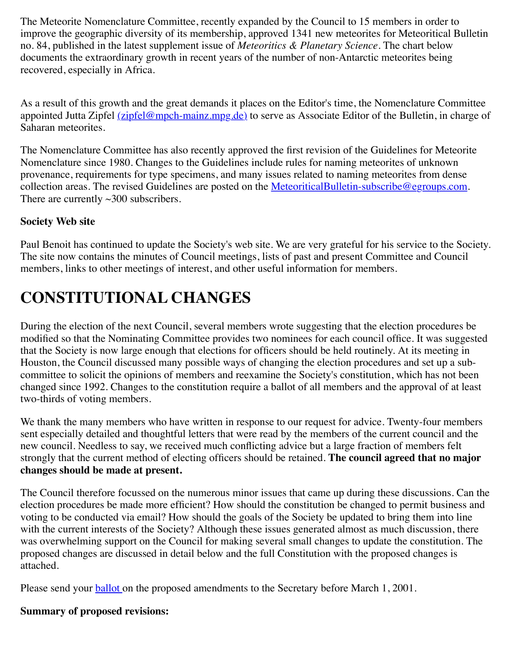The Meteorite Nomenclature Committee, recently expanded by the Council to 15 members in order to improve the geographic diversity of its membership, approved 1341 new meteorites for Meteoritical Bulletin no. 84, published in the latest supplement issue of *Meteoritics & Planetary Science*. The chart below documents the extraordinary growth in recent years of the number of non-Antarctic meteorites being recovered, especially in Africa.

As a result of this growth and the great demands it places on the Editor's time, the Nomenclature Committee appointed Jutta Zipfel [\(zipfel@mpch-mainz.mpg.de\)](mailto:%20zipfel@mpch-mainz.mpg.de) to serve as Associate Editor of the Bulletin, in charge of Saharan meteorites.

The Nomenclature Committee has also recently approved the first revision of the Guidelines for Meteorite Nomenclature since 1980. Changes to the Guidelines include rules for naming meteorites of unknown provenance, requirements for type specimens, and many issues related to naming meteorites from dense collection areas. The revised Guidelines are posted on the [MeteoriticalBulletin-subscribe@egroups.com.](http://www.uark.edu/campus-resources/metsoc/metbull.htm%20%3EBulletin%20web%20site%3C/A%3E,%20and%20will%20be%20published%20in%20Meteoritical%20Bulletin%20no.%2085%20in%20the%20summer%20of%202001.%3CP%3EThe%20Meteoritical%20Bulletin%20website%20was%20updated%20several%20times%20in%20the%20last%20year%20to%20keep%20content%20up%20to%20date%20with%20respect%20to%20newly%20approved%20meteorites.%20%20Resources%20available%20on%20this%20site%20include%20pre-release%20versions%20of%20the%20next%20Bulletin,%20an%20index%20to%20all%20meteorites%20ever%20published%20in%20the%20Bulletin,%20links%20to%20electronic%20versions%20of%20prior%20issues%20of%20the%20Bulletin,%20and%20forms%20that%20can%20be%20used%20to%20submit%20information%20on%20new%20meteorites.This%20year%20also%20marked%20the%20beginning%20of%20a%20new%20e-mail%20notification%20system,%20which%20all%20interested%20people%20can%20use%20to%20stay%20informed%20about%20newly%20described%20meteorites.%20%20Each%20time%20the%20Nomenclature%20Committee%20approves%20new%20names,%20subscribers%20will%20receive%20an%20e-mail%20message%20with%20detailed%20information%20on%20interesting%20samples,%20and%20tabular%20information%20on%20other%20meteorites.%20%20New%20subscriptions%20can%20be%20activated%20(free)%20by%20sending%20a%20message%20to%20%3CA%20HREF%20=) There are currently  $\sim$ 300 subscribers.

#### **Society Web site**

Paul Benoit has continued to update the Society's web site. We are very grateful for his service to the Society. The site now contains the minutes of Council meetings, lists of past and present Committee and Council members, links to other meetings of interest, and other useful information for members.

## <span id="page-11-0"></span>**CONSTITUTIONAL CHANGES**

During the election of the next Council, several members wrote suggesting that the election procedures be modified so that the Nominating Committee provides two nominees for each council office. It was suggested that the Society is now large enough that elections for officers should be held routinely. At its meeting in Houston, the Council discussed many possible ways of changing the election procedures and set up a subcommittee to solicit the opinions of members and reexamine the Society's constitution, which has not been changed since 1992. Changes to the constitution require a ballot of all members and the approval of at least two-thirds of voting members.

We thank the many members who have written in response to our request for advice. Twenty-four members sent especially detailed and thoughtful letters that were read by the members of the current council and the new council. Needless to say, we received much conflicting advice but a large fraction of members felt strongly that the current method of electing officers should be retained. **The council agreed that no major changes should be made at present.**

The Council therefore focussed on the numerous minor issues that came up during these discussions. Can the election procedures be made more efficient? How should the constitution be changed to permit business and voting to be conducted via email? How should the goals of the Society be updated to bring them into line with the current interests of the Society? Although these issues generated almost as much discussion, there was overwhelming support on the Council for making several small changes to update the constitution. The proposed changes are discussed in detail below and the full Constitution with the proposed changes is attached.

Please send your **ballot** on the proposed amendments to the Secretary before March 1, 2001.

#### **Summary of proposed revisions:**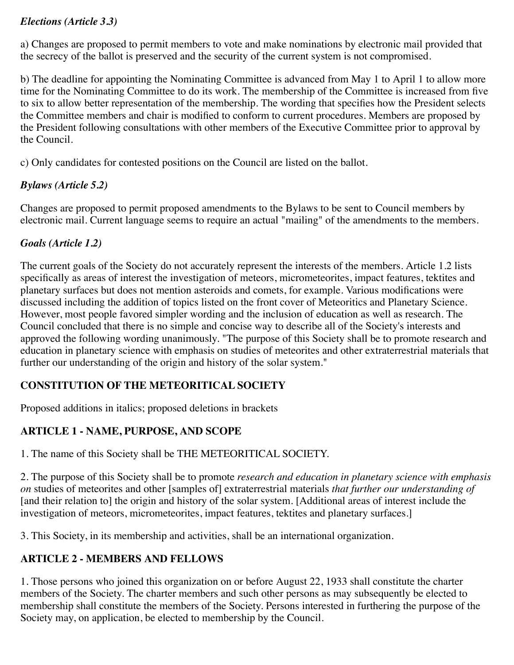#### *Elections (Article 3.3)*

a) Changes are proposed to permit members to vote and make nominations by electronic mail provided that the secrecy of the ballot is preserved and the security of the current system is not compromised.

b) The deadline for appointing the Nominating Committee is advanced from May 1 to April 1 to allow more time for the Nominating Committee to do its work. The membership of the Committee is increased from five to six to allow better representation of the membership. The wording that specifies how the President selects the Committee members and chair is modified to conform to current procedures. Members are proposed by the President following consultations with other members of the Executive Committee prior to approval by the Council.

c) Only candidates for contested positions on the Council are listed on the ballot.

#### *Bylaws (Article 5.2)*

Changes are proposed to permit proposed amendments to the Bylaws to be sent to Council members by electronic mail. Current language seems to require an actual "mailing" of the amendments to the members.

#### *Goals (Article 1.2)*

The current goals of the Society do not accurately represent the interests of the members. Article 1.2 lists specifically as areas of interest the investigation of meteors, micrometeorites, impact features, tektites and planetary surfaces but does not mention asteroids and comets, for example. Various modifications were discussed including the addition of topics listed on the front cover of Meteoritics and Planetary Science. However, most people favored simpler wording and the inclusion of education as well as research. The Council concluded that there is no simple and concise way to describe all of the Society's interests and approved the following wording unanimously. "The purpose of this Society shall be to promote research and education in planetary science with emphasis on studies of meteorites and other extraterrestrial materials that further our understanding of the origin and history of the solar system."

#### **CONSTITUTION OF THE METEORITICAL SOCIETY**

Proposed additions in italics; proposed deletions in brackets

#### **ARTICLE 1 - NAME, PURPOSE, AND SCOPE**

1. The name of this Society shall be THE METEORITICAL SOCIETY.

2. The purpose of this Society shall be to promote *research and education in planetary science with emphasis on* studies of meteorites and other [samples of] extraterrestrial materials *that further our understanding of* [and their relation to] the origin and history of the solar system. [Additional areas of interest include the investigation of meteors, micrometeorites, impact features, tektites and planetary surfaces.]

3. This Society, in its membership and activities, shall be an international organization.

#### **ARTICLE 2 - MEMBERS AND FELLOWS**

1. Those persons who joined this organization on or before August 22, 1933 shall constitute the charter members of the Society. The charter members and such other persons as may subsequently be elected to membership shall constitute the members of the Society. Persons interested in furthering the purpose of the Society may, on application, be elected to membership by the Council.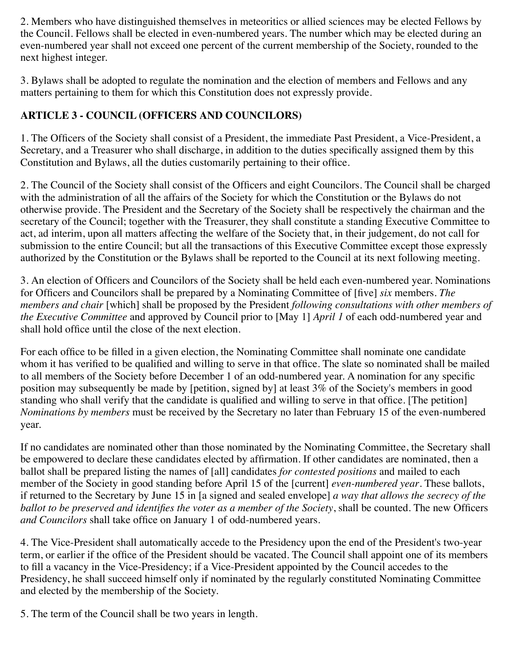2. Members who have distinguished themselves in meteoritics or allied sciences may be elected Fellows by the Council. Fellows shall be elected in even-numbered years. The number which may be elected during an even-numbered year shall not exceed one percent of the current membership of the Society, rounded to the next highest integer.

3. Bylaws shall be adopted to regulate the nomination and the election of members and Fellows and any matters pertaining to them for which this Constitution does not expressly provide.

### **ARTICLE 3 - COUNCIL (OFFICERS AND COUNCILORS)**

1. The Officers of the Society shall consist of a President, the immediate Past President, a Vice-President, a Secretary, and a Treasurer who shall discharge, in addition to the duties specifically assigned them by this Constitution and Bylaws, all the duties customarily pertaining to their office.

2. The Council of the Society shall consist of the Officers and eight Councilors. The Council shall be charged with the administration of all the affairs of the Society for which the Constitution or the Bylaws do not otherwise provide. The President and the Secretary of the Society shall be respectively the chairman and the secretary of the Council; together with the Treasurer, they shall constitute a standing Executive Committee to act, ad interim, upon all matters affecting the welfare of the Society that, in their judgement, do not call for submission to the entire Council; but all the transactions of this Executive Committee except those expressly authorized by the Constitution or the Bylaws shall be reported to the Council at its next following meeting.

3. An election of Officers and Councilors of the Society shall be held each even-numbered year. Nominations for Officers and Councilors shall be prepared by a Nominating Committee of [five] *six* members. *The members and chair* [which] shall be proposed by the President *following consultations with other members of the Executive Committee* and approved by Council prior to [May 1] *April 1* of each odd-numbered year and shall hold office until the close of the next election.

For each office to be filled in a given election, the Nominating Committee shall nominate one candidate whom it has verified to be qualified and willing to serve in that office. The slate so nominated shall be mailed to all members of the Society before December 1 of an odd-numbered year. A nomination for any specific position may subsequently be made by [petition, signed by] at least 3% of the Society's members in good standing who shall verify that the candidate is qualified and willing to serve in that office. [The petition] *Nominations by members* must be received by the Secretary no later than February 15 of the even-numbered year.

If no candidates are nominated other than those nominated by the Nominating Committee, the Secretary shall be empowered to declare these candidates elected by affirmation. If other candidates are nominated, then a ballot shall be prepared listing the names of [all] candidates *for contested positions* and mailed to each member of the Society in good standing before April 15 of the [current] *even-numbered year*. These ballots, if returned to the Secretary by June 15 in [a signed and sealed envelope] *a way that allows the secrecy of the ballot to be preserved and identifies the voter as a member of the Society*, shall be counted. The new Officers *and Councilors* shall take office on January 1 of odd-numbered years.

4. The Vice-President shall automatically accede to the Presidency upon the end of the President's two-year term, or earlier if the office of the President should be vacated. The Council shall appoint one of its members to fill a vacancy in the Vice-Presidency; if a Vice-President appointed by the Council accedes to the Presidency, he shall succeed himself only if nominated by the regularly constituted Nominating Committee and elected by the membership of the Society.

5. The term of the Council shall be two years in length.